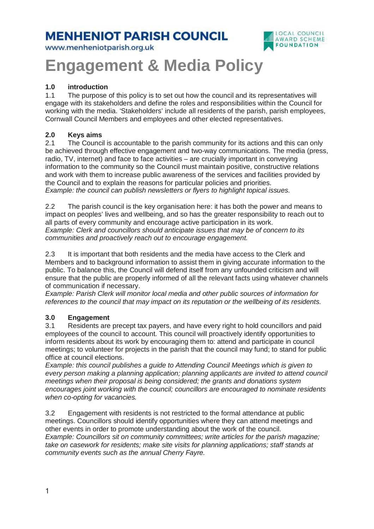# **MENHENIOT PARISH COUNCIL**

www.menheniotparish.org.uk



# **Engagement & Media Policy**

### **1.0 introduction**

1.1 The purpose of this policy is to set out how the council and its representatives will engage with its stakeholders and define the roles and responsibilities within the Council for working with the media. 'Stakeholders' include all residents of the parish, parish employees, Cornwall Council Members and employees and other elected representatives.

#### **2.0 Keys aims**

2.1 The Council is accountable to the parish community for its actions and this can only be achieved through effective engagement and two-way communications. The media (press, radio, TV, internet) and face to face activities – are crucially important in conveying information to the community so the Council must maintain positive, constructive relations and work with them to increase public awareness of the services and facilities provided by the Council and to explain the reasons for particular policies and priorities. Example: the council can publish newsletters or flyers to highlight topical issues.

2.2 The parish council is the key organisation here: it has both the power and means to impact on peoples' lives and wellbeing, and so has the greater responsibility to reach out to all parts of every community and encourage active participation in its work. Example: Clerk and councillors should anticipate issues that may be of concern to its communities and proactively reach out to encourage engagement.

2.3 It is important that both residents and the media have access to the Clerk and Members and to background information to assist them in giving accurate information to the public. To balance this, the Council will defend itself from any unfounded criticism and will ensure that the public are properly informed of all the relevant facts using whatever channels of communication if necessary.

Example: Parish Clerk will monitor local media and other public sources of information for references to the council that may impact on its reputation or the wellbeing of its residents.

#### **3.0 Engagement**

3.1 Residents are precept tax payers, and have every right to hold councillors and paid employees of the council to account. This council will proactively identify opportunities to inform residents about its work by encouraging them to: attend and participate in council meetings; to volunteer for projects in the parish that the council may fund; to stand for public office at council elections.

Example: this council publishes a guide to Attending Council Meetings which is given to every person making a planning application; planning applicants are invited to attend council meetings when their proposal is being considered; the grants and donations system encourages joint working with the council; councillors are encouraged to nominate residents when co-opting for vacancies.

3.2 Engagement with residents is not restricted to the formal attendance at public meetings. Councillors should identify opportunities where they can attend meetings and other events in order to promote understanding about the work of the council. Example: Councillors sit on community committees; write articles for the parish magazine; take on casework for residents; make site visits for planning applications; staff stands at community events such as the annual Cherry Fayre.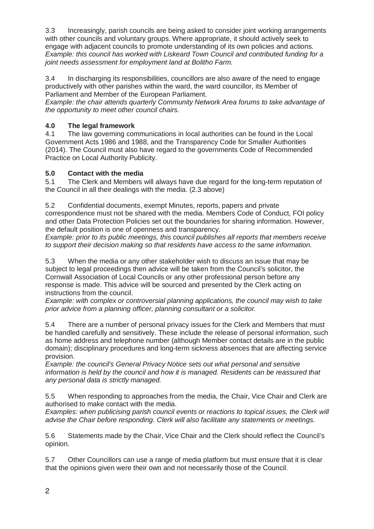3.3 Increasingly, parish councils are being asked to consider joint working arrangements with other councils and voluntary groups. Where appropriate, it should actively seek to engage with adjacent councils to promote understanding of its own policies and actions. Example: this council has worked with Liskeard Town Council and contributed funding for a joint needs assessment for employment land at Bolitho Farm.

3.4 In discharging its responsibilities, councillors are also aware of the need to engage productively with other parishes within the ward, the ward councillor, its Member of Parliament and Member of the European Parliament.

Example: the chair attends quarterly Community Network Area forums to take advantage of the opportunity to meet other council chairs.

# **4.0 The legal framework**

4.1 The law governing communications in local authorities can be found in the Local Government Acts 1986 and 1988, and the Transparency Code for Smaller Authorities (2014). The Council must also have regard to the governments Code of Recommended Practice on Local Authority Publicity.

## **5.0 Contact with the media**

5.1 The Clerk and Members will always have due regard for the long-term reputation of the Council in all their dealings with the media. (2.3 above)

5.2 Confidential documents, exempt Minutes, reports, papers and private correspondence must not be shared with the media. Members Code of Conduct, FOI policy and other Data Protection Policies set out the boundaries for sharing information. However, the default position is one of openness and transparency.

Example: prior to its public meetings, this council publishes all reports that members receive to support their decision making so that residents have access to the same information.

5.3 When the media or any other stakeholder wish to discuss an issue that may be subject to legal proceedings then advice will be taken from the Council's solicitor, the Cornwall Association of Local Councils or any other professional person before any response is made. This advice will be sourced and presented by the Clerk acting on instructions from the council.

Example: with complex or controversial planning applications, the council may wish to take prior advice from a planning officer, planning consultant or a solicitor.

5.4 There are a number of personal privacy issues for the Clerk and Members that must be handled carefully and sensitively. These include the release of personal information, such as home address and telephone number (although Member contact details are in the public domain); disciplinary procedures and long-term sickness absences that are affecting service provision.

Example: the council's General Privacy Notice sets out what personal and sensitive information is held by the council and how it is managed. Residents can be reassured that any personal data is strictly managed.

5.5 When responding to approaches from the media, the Chair, Vice Chair and Clerk are authorised to make contact with the media.

Examples: when publicising parish council events or reactions to topical issues, the Clerk will advise the Chair before responding. Clerk will also facilitate any statements or meetings.

5.6 Statements made by the Chair, Vice Chair and the Clerk should reflect the Council's opinion.

5.7 Other Councillors can use a range of media platform but must ensure that it is clear that the opinions given were their own and not necessarily those of the Council.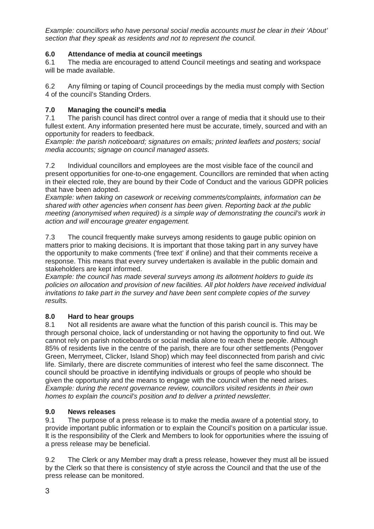Example: councillors who have personal social media accounts must be clear in their 'About' section that they speak as residents and not to represent the council.

#### **6.0 Attendance of media at council meetings**

6.1 The media are encouraged to attend Council meetings and seating and workspace will be made available.

6.2 Any filming or taping of Council proceedings by the media must comply with Section 4 of the council's Standing Orders.

#### **7.0 Managing the council's media**

7.1 The parish council has direct control over a range of media that it should use to their fullest extent. Any information presented here must be accurate, timely, sourced and with an opportunity for readers to feedback.

Example: the parish noticeboard; signatures on emails; printed leaflets and posters; social media accounts; signage on council managed assets.

7.2 Individual councillors and employees are the most visible face of the council and present opportunities for one-to-one engagement. Councillors are reminded that when acting in their elected role, they are bound by their Code of Conduct and the various GDPR policies that have been adopted.

Example: when taking on casework or receiving comments/complaints, information can be shared with other agencies when consent has been given. Reporting back at the public meeting (anonymised when required) is a simple way of demonstrating the council's work in action and will encourage greater engagement.

7.3 The council frequently make surveys among residents to gauge public opinion on matters prior to making decisions. It is important that those taking part in any survey have the opportunity to make comments ('free text' if online) and that their comments receive a response. This means that every survey undertaken is available in the public domain and stakeholders are kept informed.

Example: the council has made several surveys among its allotment holders to guide its policies on allocation and provision of new facilities. All plot holders have received individual invitations to take part in the survey and have been sent complete copies of the survey results.

#### **8.0 Hard to hear groups**

8.1 Not all residents are aware what the function of this parish council is. This may be through personal choice, lack of understanding or not having the opportunity to find out. We cannot rely on parish noticeboards or social media alone to reach these people. Although 85% of residents live in the centre of the parish, there are four other settlements (Pengover Green, Merrymeet, Clicker, Island Shop) which may feel disconnected from parish and civic life. Similarly, there are discrete communities of interest who feel the same disconnect. The council should be proactive in identifying individuals or groups of people who should be given the opportunity and the means to engage with the council when the need arises. Example: during the recent governance review, councillors visited residents in their own homes to explain the council's position and to deliver a printed newsletter.

#### **9.0 News releases**

9.1 The purpose of a press release is to make the media aware of a potential story, to provide important public information or to explain the Council's position on a particular issue. It is the responsibility of the Clerk and Members to look for opportunities where the issuing of a press release may be beneficial.

9.2 The Clerk or any Member may draft a press release, however they must all be issued by the Clerk so that there is consistency of style across the Council and that the use of the press release can be monitored.